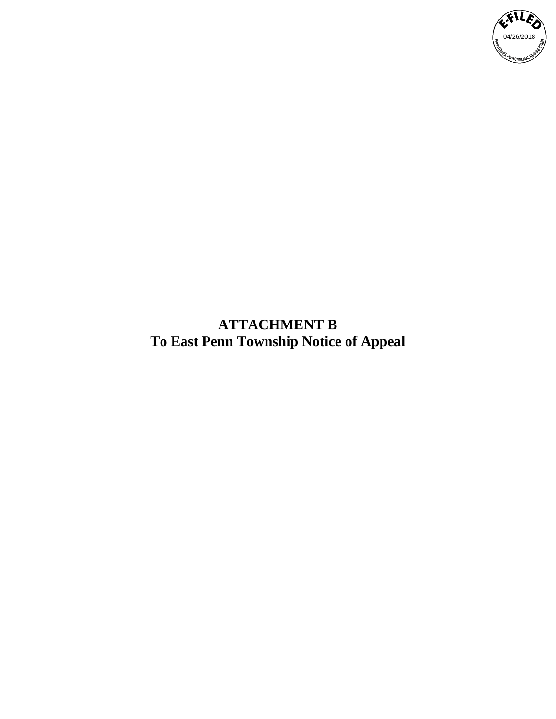

**ATTACHMENT B To East Penn Township Notice of Appeal**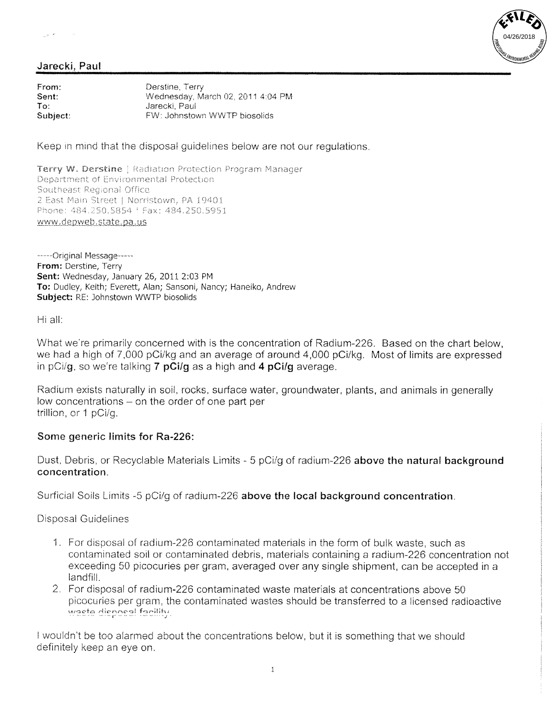$\gamma_{\mu\nu}$  ,  $\epsilon$ 



## Jarecki, Paul

From: Derstine, Terry Sent: Wednesday, March 02, 2011 4:04 PM Jarecki, Paul  $To:$ Subject: FW: Johnstown WWTP biosolids

Keep in mind that the disposal quidelines below are not our regulations.

Terry W. Derstine | Radiation Protection Program Manager Department of Environmental Protection Southeast Regional Office 2 East Main Street | Norristown, PA 19401 Phone: 484.250.5854 | Fax: 484.250.5951 www.depweb.state.pa.us

-----Original Message-----From: Derstine, Terry Sent: Wednesday, January 26, 2011 2:03 PM To: Dudley, Keith; Everett, Alan; Sansoni, Nancy; Haneiko, Andrew Subject: RE: Johnstown WWTP biosolids

Hi all:

What we're primarily concerned with is the concentration of Radium-226. Based on the chart below, we had a high of 7,000 pCi/kg and an average of around 4,000 pCi/kg. Most of limits are expressed in  $pC_i/q$ , so we're talking 7  $pC_i/q$  as a high and 4  $pC_i/q$  average.

Radium exists naturally in soil, rocks, surface water, groundwater, plants, and animals in generally low concentrations – on the order of one part per trillion, or 1 pCi/q.

## Some generic limits for Ra-226:

Dust, Debris, or Recyclable Materials Limits - 5 pCi/g of radium-226 above the natural background concentration.

Surficial Soils Limits -5 pCi/q of radium-226 above the local background concentration.

**Disposal Guidelines** 

- 1. For disposal of radium-226 contaminated materials in the form of bulk waste, such as contaminated soil or contaminated debris, materials containing a radium-226 concentration not exceeding 50 picocuries per gram, averaged over any single shipment, can be accepted in a landfill.
- 2. For disposal of radium-226 contaminated waste materials at concentrations above 50 picocuries per gram, the contaminated wastes should be transferred to a licensed radioactive waste disposal facility.

I wouldn't be too alarmed about the concentrations below, but it is something that we should definitely keep an eye on.